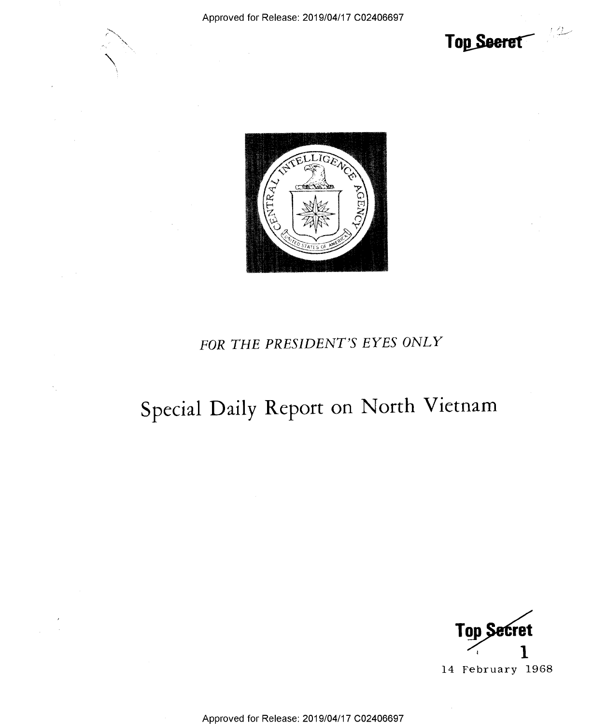

, /;

 $\mathcal{L}_\mathbb{C}$ 



# FOR THE PRESIDENT'S EYES ONLY

# Special Daily Report on North Vietnam



Approved for Release: 2019/04/17 C02406697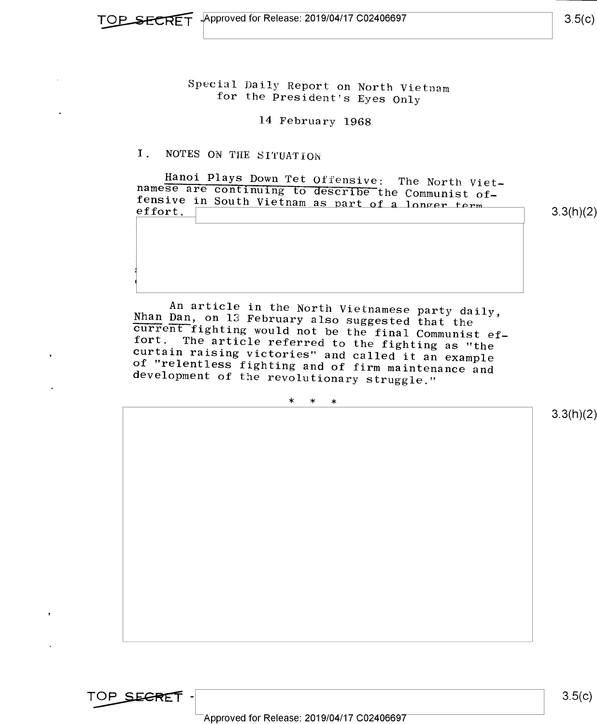Special Daily Report on North Vietnam for the President's Eyes Only

## 14 February 1968

### I. NOTES ON THE SITUATION

Hanoi Plays Down Tet Offensive: The North Viet-<br>namese are continuing to describe the Communist of-<br>fensive in South Vietnam as part of a longer term<br>effort.

3.3(h)(2)

An article in the North Vietnamese party daily,<br>Nhan Dan, on 13 February also suggested that the<br>current fighting would not be the final Communist ef-<br>fort. The article referred to the fighting as "the<br>curtain raising vict

\* \* \*

3.3(h)(2)

TOP SEGRET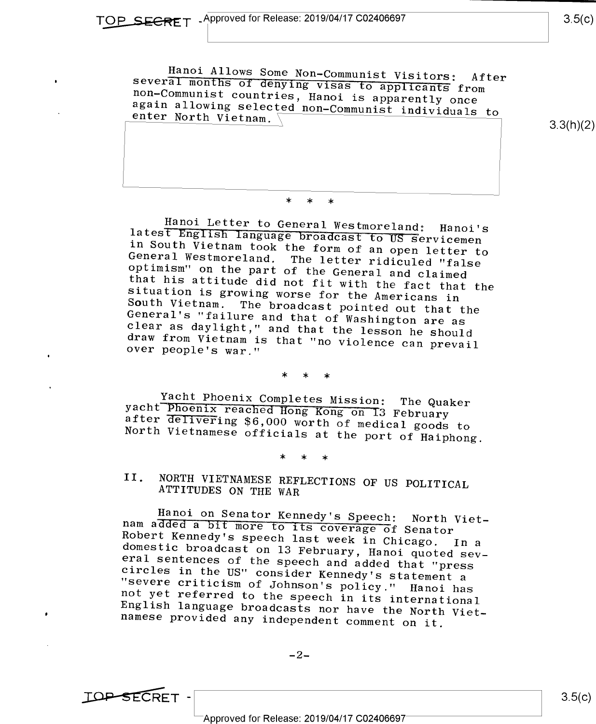Hanoi Allows Some Non-Communist Visitors: After several months of denying visas to applicants from non-Communist countries, Hanoi is apparently once again allowing selected non-Communist individuals to enter North Vietnam

3.3(h)(2)

#### \* \* \*

Hanoi Letter to General Westmoreland: Hanoi's<br>latest English language broadcast to US servicemen<br>in South Vietnam took the form of an open letter to<br>General Westmoreland. The letter ridiculed "false<br>optimism" on the part o

\* \* \*

Yacht Phoenix Completes Mission: The Quaker<br>yacht Phoenix reached Hong Kong on T3 February<br>after delivering \$6,000 worth of medical goods to<br>North Vietnamese officials at the port of Haiphong.

\* \* \*

II. NORTH VIETNAMESE REFLECTIONS OF US POLITICAL ATTITUDES ON THE WAR

Hanoi on Senator Kennedy's Speech: North Viet-<br>nam added a bit more to its coverage of Senator<br>Robert Kennedy's speech last week in Chicago. In a<br>domestic broadcast on 13 February, Hanoi quoted sev-<br>eral sentences of the s

 $-2-$